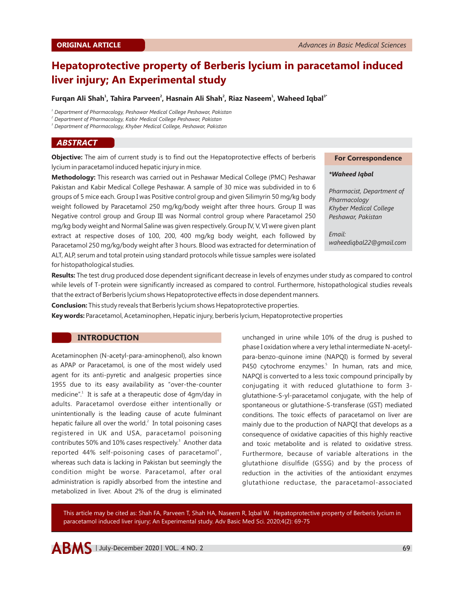# **Hepatoprotective property of Berberis lycium in paracetamol induced liver injury; An Experimental study**

## **1 2 2 2 2 2 2 2** *Alia Baryeen<sup>2</sup>, Hasnain Ali Shah<sup>2</sup>, Riaz Naseem<sup>1</sup>, Waheed Iqbal<sup>3</sup><sup>\*</sup>*

*1 Department of Pharmacology, Peshawar Medical College Peshawar, Pakistan*

*2 Department of Pharmacology, Kabir Medical College Peshawar, Pakistan*

*3 Department of Pharmacology, Khyber Medical College, Peshawar, Pakistan*

# *ABSTRACT*

**Objective:** The aim of current study is to find out the Hepatoprotective effects of berberis lycium in paracetamol induced hepatic injury in mice.

**Methodology:** This research was carried out in Peshawar Medical College (PMC) Peshawar Pakistan and Kabir Medical College Peshawar. A sample of 30 mice was subdivided in to 6 groups of 5 mice each. Group I was Positive control group and given Silimyrin 50 mg/kg body weight followed by Paracetamol 250 mg/kg/body weight after three hours. Group II was Negative control group and Group III was Normal control group where Paracetamol 250 mg/kg body weight and Normal Saline was given respectively. Group IV, V, VI were given plant extract at respective doses of 100, 200, 400 mg/kg body weight, each followed by Paracetamol 250 mg/kg/body weight after 3 hours. Blood was extracted for determination of ALT, ALP, serum and total protein using standard protocols while tissue samples were isolated for histopathological studies.

#### **For Correspondence**

## *\*Waheed Iqbal*

*Pharmacist, Department of Pharmacology Khyber Medical College Peshawar, Pakistan*

*Email: waheediqbal22@gmail.com*

**Results:** The test drug produced dose dependent significant decrease in levels of enzymes under study as compared to control while levels of T-protein were significantly increased as compared to control. Furthermore, histopathological studies reveals that the extract of Berberis lycium shows Hepatoprotective effects in dose dependent manners.

**Conclusion:** This study reveals that Berberis lycium shows Hepatoprotective properties.

**Key words:** Paracetamol, Acetaminophen, Hepatic injury, berberis lycium, Hepatoprotective properties

## **INTRODUCTION**

Acetaminophen (N-acetyl-para-aminophenol), also known as APAP or Paracetamol, is one of the most widely used agent for its anti-pyretic and analgesic properties since 1955 due to its easy availability as "over-the-counter medicine".<sup>1</sup> It is safe at a therapeutic dose of 4gm/day in adults. Paracetamol overdose either intentionally or unintentionally is the leading cause of acute fulminant hepatic failure all over the world.<sup>2</sup> In total poisoning cases registered in UK and USA, paracetamol poisoning contributes 50% and 10% cases respectively.<sup>3</sup> Another data reported 44% self-poisoning cases of paracetamol<sup>4</sup>, whereas such data is lacking in Pakistan but seemingly the condition might be worse. Paracetamol, after oral administration is rapidly absorbed from the intestine and metabolized in liver. About 2% of the drug is eliminated

unchanged in urine while 10% of the drug is pushed to phase I oxidation where a very lethal intermediate N-acetylpara-benzo-quinone imine (NAPQI) is formed by several P450 cytochrome enzymes.<sup>5</sup> In human, rats and mice, NAPQI is converted to a less toxic compound principally by conjugating it with reduced glutathione to form 3 glutathione-S-yl-paracetamol conjugate, with the help of spontaneous or glutathione-S-transferase (GST) mediated conditions. The toxic effects of paracetamol on liver are mainly due to the production of NAPQI that develops as a consequence of oxidative capacities of this highly reactive and toxic metabolite and is related to oxidative stress. Furthermore, because of variable alterations in the glutathione disulfide (GSSG) and by the process of reduction in the activities of the antioxidant enzymes glutathione reductase, the paracetamol-associated

This article may be cited as: Shah FA, Parveen T, Shah HA, Naseem R, Iqbal W. Hepatoprotective property of Berberis lycium in paracetamol induced liver injury; An Experimental study. Adv Basic Med Sci. 2020;4(2): 69-75

 $ABMS$  | July-December 2020 | VOL. 4 NO. 2  $69$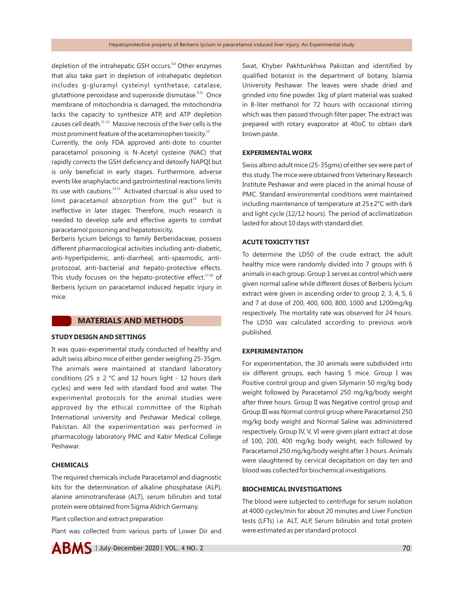depletion of the intrahepatic GSH occurs.<sup>6,8</sup> Other enzymes that also take part in depletion of intrahepatic depletion includes g-gluramyl cysteinyl synthetase, catalase, glutathione peroxidase and superoxide dismutase.<sup>9,10</sup> Once membrane of mitochondria is damaged, the mitochondria lacks the capacity to synthesize ATP, and ATP depletion causes cell death.<sup>11-12</sup> Massive necrosis of the liver cells is the most prominent feature of the acetaminophen toxicity. $13$ 

Currently, the only FDA approved anti-dote to counter paracetamol poisoning is N-Acetyl cysteine (NAC) that rapidly corrects the GSH deficiency and detoxify NAPQI but is only beneficial in early stages. Furthermore, adverse events like anaphylactic and gastrointestinal reactions limits its use with cautions.<sup>14,15</sup> Activated charcoal is also used to limit paracetamol absorption from the  $qut<sup>16</sup>$  but is ineffective in later stages. Therefore, much research is needed to develop safe and effective agents to combat paracetamol poisoning and hepatotoxicity.

Berberis lycium belongs to family Berberidaceae, possess different pharmacological activities including anti-diabetic, anti-hyperlipidemic, anti-diarrheal, anti-spasmodic, antiprotozoal, anti-bacterial and hepato-protective effects. This study focuses on the hepato-protective effect. $17,18$  of Berberis lycium on paracetamol induced hepatic injury in mice.

## **MATERIALS AND METHODS**

#### **STUDY DESIGN AND SETTINGS**

It was quasi-experimental study conducted of healthy and adult swiss albino mice of either gender weighing 25-35gm. The animals were maintained at standard laboratory conditions (25  $\pm$  2 °C and 12 hours light - 12 hours dark cycles) and were fed with standard food and water. The experimental protocols for the animal studies were approved by the ethical committee of the Riphah International university and Peshawar Medical college, Pakistan. All the experimentation was performed in pharmacology laboratory PMC and Kabir Medical College Peshawar.

#### **CHEMICALS**

The required chemicals include Paracetamol and diagnostic kits for the determination of alkaline phosphatase (ALP), alanine aminotransferase (ALT), serum bilirubin and total protein were obtained from Sigma Aldrich Germany.

Plant collection and extract preparation

Plant was collected from various parts of Lower Dir and



 $ABMS$  | July-December 2020 | VOL. 4 NO. 2

Swat, Khyber Pakhtunkhwa Pakistan and identified by qualified botanist in the department of botany, Islamia University Peshawar. The leaves were shade dried and grinded into fine powder. 1kg of plant material was soaked in 8-liter methanol for 72 hours with occasional stirring which was then passed through filter paper. The extract was prepared with rotary evaporator at 40oC to obtain dark brown paste.

## **EXPERIMENTAL WORK**

Swiss albino adult mice (25-35gms) of either sex were part of this study. The mice were obtained from Veterinary Research Institute Peshawar and were placed in the animal house of PMC. Standard environmental conditions were maintained including maintenance of temperature at 25±2°C with dark and light cycle (12/12 hours). The period of acclimatization lasted for about 10 days with standard diet.

### **ACUTE TOXICITY TEST**

To determine the LD50 of the crude extract, the adult healthy mice were randomly divided into 7 groups with 6 animals in each group. Group 1 serves as control which were given normal saline while different doses of Berberis lycium extract were given in ascending order to group 2, 3, 4, 5, 6 and 7 at dose of 200, 400, 600, 800, 1000 and 1200mg/kg respectively. The mortality rate was observed for 24 hours. The LD50 was calculated according to previous work published.

## **EXPERIMENTATION**

For experimentation, the 30 animals were subdivided into six different groups, each having 5 mice. Group I was Positive control group and given Silymarin 50 mg/kg body weight followed by Paracetamol 250 mg/kg/body weight after three hours. Group II was Negative control group and Group III was Normal control group where Paracetamol 250 mg/kg body weight and Normal Saline was administered respectively. Group IV, V, VI were given plant extract at dose of 100, 200, 400 mg/kg body weight, each followed by Paracetamol 250 mg/kg/body weight after 3 hours. Animals were slaughtered by cervical decapitation on day ten and blood was collected for biochemical investigations.

#### **BIOCHEMICAL INVESTIGATIONS**

The blood were subjected to centrifuge for serum isolation at 4000 cycles/min for about 20 minutes and Liver Function tests (LFTs) i.e. ALT, ALP, Serum bilirubin and total protein were estimated as per standard protocol.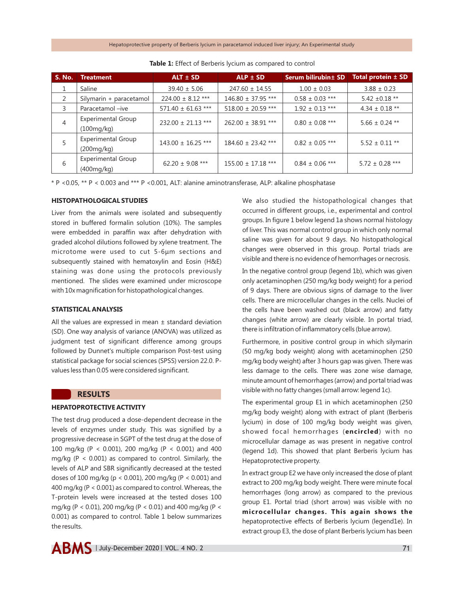| S. No.         | Treatment                               | $ALT \pm SD$           | $ALP \pm SD$           | Serum bilirubin ± SD | Total protein ± SD  |
|----------------|-----------------------------------------|------------------------|------------------------|----------------------|---------------------|
| 1              | Saline                                  | $39.40 \pm 5.06$       | $247.60 \pm 14.55$     | $1.00 \pm 0.03$      | $3.88 \pm 0.23$     |
| 2              | Silymarin + paracetamol                 | $224.00 \pm 8.12$ ***  | 146.80 ± 37.95 ***     | $0.58 \pm 0.03$ ***  | $5.42 \pm 0.18$ **  |
| 3              | Paracetamol -ive                        | $571.40 \pm 61.63$ *** | $518.00 \pm 20.59$ *** | $1.92 \pm 0.13$ ***  | $4.34 \pm 0.18$ **  |
| $\overline{4}$ | <b>Experimental Group</b><br>(100mg/kg) | $232.00 \pm 21.13$ *** | $262.00 \pm 38.91$ *** | $0.80 \pm 0.08$ ***  | $5.66 \pm 0.24$ **  |
|                | <b>Experimental Group</b><br>(200mg/kg) | $143.00 \pm 16.25$ *** | $184.60 \pm 23.42$ *** | $0.82 \pm 0.05$ ***  | $5.52 \pm 0.11$ **  |
| 6              | <b>Experimental Group</b><br>(400mg/kg) | $62.20 \pm 9.08$ ***   | $155.00 \pm 17.18$ *** | $0.84 \pm 0.06$ ***  | $5.72 \pm 0.28$ *** |

**Table 1:** Effect of Berberis lycium as compared to control

\* P <0.05, \*\* P < 0.003 and \*\*\* P <0.001, ALT: alanine aminotransferase, ALP: alkaline phosphatase

## **HISTOPATHOLOGICAL STUDIES**

Liver from the animals were isolated and subsequently stored in buffered formalin solution (10%). The samples were embedded in paraffin wax after dehydration with graded alcohol dilutions followed by xylene treatment. The microtome were used to cut 5-6μm sections and subsequently stained with hematoxylin and Eosin (H&E) staining was done using the protocols previously mentioned. The slides were examined under microscope with 10x magnification for histopathological changes.

## **STATISTICAL ANALYSIS**

All the values are expressed in mean  $\pm$  standard deviation (SD). One way analysis of variance (ANOVA) was utilized as judgment test of significant difference among groups followed by Dunnet's multiple comparison Post-test using statistical package for social sciences (SPSS) version 22.0. Pvalues less than 0.05 were considered significant.

## **RESULTS**

## **HEPATOPROTECTIVE ACTIVITY**

The test drug produced a dose-dependent decrease in the levels of enzymes under study. This was signified by a progressive decrease in SGPT of the test drug at the dose of 100 mg/kg (P < 0.001), 200 mg/kg (P < 0.001) and 400 mg/kg ( $P < 0.001$ ) as compared to control. Similarly, the levels of ALP and SBR significantly decreased at the tested doses of 100 mg/kg (p < 0.001), 200 mg/kg (P < 0.001) and 400 mg/kg (P < 0.001) as compared to control. Whereas, the T-protein levels were increased at the tested doses 100 mg/kg (P < 0.01), 200 mg/kg (P < 0.01) and 400 mg/kg (P < 0.001) as compared to control. Table 1 below summarizes the results.

We also studied the histopathological changes that occurred in different groups, i.e., experimental and control groups. In figure 1 below legend 1a shows normal histology of liver. This was normal control group in which only normal saline was given for about 9 days. No histopathological changes were observed in this group. Portal triads are visible and there is no evidence of hemorrhages or necrosis.

In the negative control group (legend 1b), which was given only acetaminophen (250 mg/kg body weight) for a period of 9 days. There are obvious signs of damage to the liver cells. There are microcellular changes in the cells. Nuclei of the cells have been washed out (black arrow) and fatty changes (white arrow) are clearly visible. In portal triad, there is infiltration of inflammatory cells (blue arrow).

Furthermore, in positive control group in which silymarin (50 mg/kg body weight) along with acetaminophen (250 mg/kg body weight) after 3 hours gap was given. There was less damage to the cells. There was zone wise damage, minute amount of hemorrhages (arrow) and portal triad was visible with no fatty changes (small arrow: legend 1c).

The experimental group E1 in which acetaminophen (250 mg/kg body weight) along with extract of plant (Berberis lycium) in dose of 100 mg/kg body weight was given, showed focal hemorrhages (**encircled**) with no microcellular damage as was present in negative control (legend 1d). This showed that plant Berberis lycium has Hepatoprotective property.

In extract group E2 we have only increased the dose of plant extract to 200 mg/kg body weight. There were minute focal hemorrhages (long arrow) as compared to the previous group E1. Portal triad (short arrow) was visible with no **microcellular changes. This again shows the** hepatoprotective effects of Berberis lycium (legend1e). In extract group E3, the dose of plant Berberis lycium has been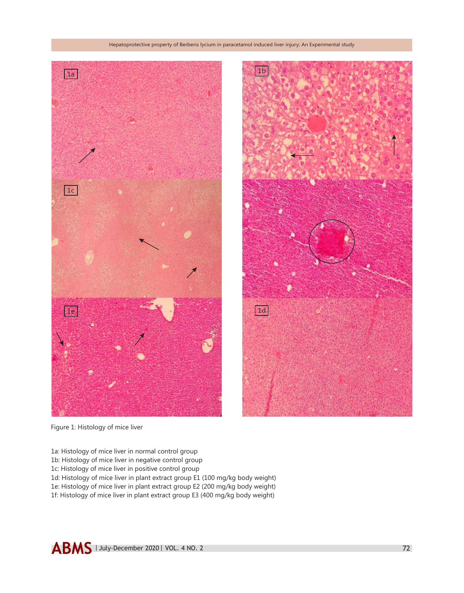

Figure 1: Histology of mice liver

- 1a: Histology of mice liver in normal control group
- 1b: Histology of mice liver in negative control group
- 1c: Histology of mice liver in positive control group
- 1d: Histology of mice liver in plant extract group E1 (100 mg/kg body weight)
- 1e: Histology of mice liver in plant extract group E2 (200 mg/kg body weight)
- 1f: Histology of mice liver in plant extract group E3 (400 mg/kg body weight)

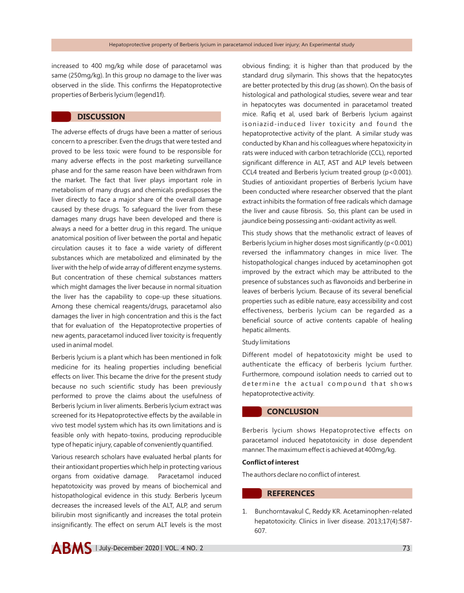increased to 400 mg/kg while dose of paracetamol was same (250mg/kg). In this group no damage to the liver was observed in the slide. This confirms the Hepatoprotective properties of Berberis lycium (legend1f).

## **DISCUSSION**

The adverse effects of drugs have been a matter of serious concern to a prescriber. Even the drugs that were tested and proved to be less toxic were found to be responsible for many adverse effects in the post marketing surveillance phase and for the same reason have been withdrawn from the market. The fact that liver plays important role in metabolism of many drugs and chemicals predisposes the liver directly to face a major share of the overall damage caused by these drugs. To safeguard the liver from these damages many drugs have been developed and there is always a need for a better drug in this regard. The unique anatomical position of liver between the portal and hepatic circulation causes it to face a wide variety of different substances which are metabolized and eliminated by the liver with the help of wide array of different enzyme systems. But concentration of these chemical substances matters which might damages the liver because in normal situation the liver has the capability to cope-up these situations. Among these chemical reagents/drugs, paracetamol also damages the liver in high concentration and this is the fact that for evaluation of the Hepatoprotective properties of new agents, paracetamol induced liver toxicity is frequently used in animal model.

Berberis lycium is a plant which has been mentioned in folk medicine for its healing properties including beneficial effects on liver. This became the drive for the present study because no such scientific study has been previously performed to prove the claims about the usefulness of Berberis lycium in liver aliments. Berberis lycium extract was screened for its Hepatoprotective effects by the available in vivo test model system which has its own limitations and is feasible only with hepato-toxins, producing reproducible type of hepatic injury, capable of conveniently quantified.

Various research scholars have evaluated herbal plants for their antioxidant properties which help in protecting various organs from oxidative damage. Paracetamol induced hepatotoxicity was proved by means of biochemical and histopathological evidence in this study. Berberis lyceum decreases the increased levels of the ALT, ALP, and serum bilirubin most significantly and increases the total protein insignificantly. The effect on serum ALT levels is the most

obvious finding; it is higher than that produced by the standard drug silymarin. This shows that the hepatocytes are better protected by this drug (as shown). On the basis of histological and pathological studies, severe wear and tear in hepatocytes was documented in paracetamol treated mice. Rafiq et al, used bark of Berberis lycium against isoniazid-induced liver toxicity and found the hepatoprotective activity of the plant. A similar study was conducted by Khan and his colleagues where hepatoxicity in rats were induced with carbon tetrachloride (CCL), reported significant difference in ALT, AST and ALP levels between CCL4 treated and Berberis lycium treated group (p<0.001). Studies of antioxidant properties of Berberis lycium have been conducted where researcher observed that the plant extract inhibits the formation of free radicals which damage the liver and cause fibrosis. So, this plant can be used in jaundice being possessing anti-oxidant activity as well.

This study shows that the methanolic extract of leaves of Berberis lycium in higher doses most significantly (p<0.001) reversed the inflammatory changes in mice liver. The histopathological changes induced by acetaminophen got improved by the extract which may be attributed to the presence of substances such as flavonoids and berberine in leaves of berberis lycium. Because of its several beneficial properties such as edible nature, easy accessibility and cost effectiveness, berberis lycium can be regarded as a beneficial source of active contents capable of healing hepatic ailments.

#### Study limitations

Different model of hepatotoxicity might be used to authenticate the efficacy of berberis lycium further. Furthermore, compound isolation needs to carried out to determine the actual compound that shows hepatoprotective activity.

# **CONCLUSION**

Berberis lycium shows Hepatoprotective effects on paracetamol induced hepatotoxicity in dose dependent manner. The maximum effect is achieved at 400mg/kg.

#### **Conflict of interest**

The authors declare no conflict of interest.

# **REFERENCES**

1. Bunchorntavakul C, Reddy KR. Acetaminophen-related hepatotoxicity. Clinics in liver disease. 2013;17(4):587- 607.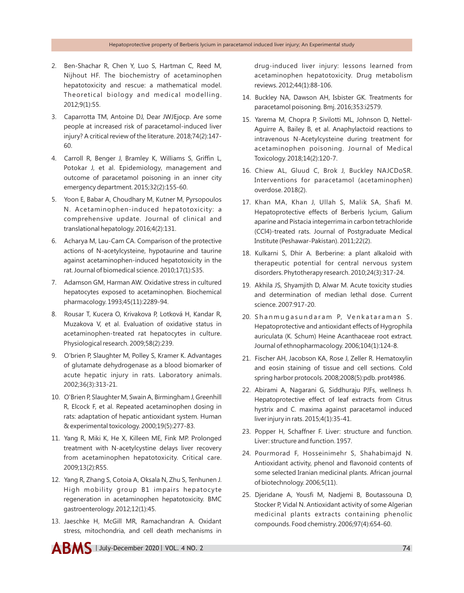- 2. Ben-Shachar R, Chen Y, Luo S, Hartman C, Reed M, Nijhout HF. The biochemistry of acetaminophen hepatotoxicity and rescue: a mathematical model. Theoretical biology and medical modelling. 2012;9(1):55.
- 3. Caparrotta TM, Antoine DJ, Dear JWJEjocp. Are some people at increased risk of paracetamol-induced liver injury? A critical review of the literature. 2018;74(2):147- 60.
- 4. Carroll R, Benger J, Bramley K, Williams S, Griffin L, Potokar J, et al. Epidemiology, management and outcome of paracetamol poisoning in an inner city emergency department. 2015;32(2):155-60.
- 5. Yoon E, Babar A, Choudhary M, Kutner M, Pyrsopoulos N. Acetaminophen-induced hepatotoxicity: a comprehensive update. Journal of clinical and translational hepatology. 2016;4(2):131.
- 6. Acharya M, Lau-Cam CA. Comparison of the protective actions of N-acetylcysteine, hypotaurine and taurine against acetaminophen-induced hepatotoxicity in the rat. Journal of biomedical science. 2010;17(1):S35.
- 7. Adamson GM, Harman AW. Oxidative stress in cultured hepatocytes exposed to acetaminophen. Biochemical pharmacology. 1993;45(11):2289-94.
- 8. Rousar T, Kucera O, Krivakova P, Lotková H, Kandar R, Muzakova V, et al. Evaluation of oxidative status in acetaminophen-treated rat hepatocytes in culture. Physiological research. 2009;58(2):239.
- 9. O'brien P, Slaughter M, Polley S, Kramer K. Advantages of glutamate dehydrogenase as a blood biomarker of acute hepatic injury in rats. Laboratory animals. 2002;36(3):313-21.
- 10. O'Brien P, Slaughter M, Swain A, Birmingham J, Greenhill R, Elcock F, et al. Repeated acetaminophen dosing in rats: adaptation of hepatic antioxidant system. Human & experimental toxicology. 2000;19(5):277-83.
- 11. Yang R, Miki K, He X, Killeen ME, Fink MP. Prolonged treatment with N-acetylcystine delays liver recovery from acetaminophen hepatotoxicity. Critical care. 2009;13(2):R55.
- 12. Yang R, Zhang S, Cotoia A, Oksala N, Zhu S, Tenhunen J. High mobility group B1 impairs hepatocyte regeneration in acetaminophen hepatotoxicity. BMC gastroenterology. 2012;12(1):45.
- 13. Jaeschke H, McGill MR, Ramachandran A. Oxidant stress, mitochondria, and cell death mechanisms in

drug-induced liver injury: lessons learned from acetaminophen hepatotoxicity. Drug metabolism reviews. 2012;44(1):88-106.

- 14. Buckley NA, Dawson AH, Isbister GK. Treatments for paracetamol poisoning. Bmj. 2016;353:i2579.
- 15. Yarema M, Chopra P, Sivilotti ML, Johnson D, Nettel-Aguirre A, Bailey B, et al. Anaphylactoid reactions to intravenous N-Acetylcysteine during treatment for acetaminophen poisoning. Journal of Medical Toxicology. 2018;14(2):120-7.
- 16. Chiew AL, Gluud C, Brok J, Buckley NAJCDoSR. Interventions for paracetamol (acetaminophen) overdose. 2018(2).
- 17. Khan MA, Khan J, Ullah S, Malik SA, Shafi M. Hepatoprotective effects of Berberis lycium, Galium aparine and Pistacia integerrima in carbon tetrachloride (CCl4)-treated rats. Journal of Postgraduate Medical Institute (Peshawar-Pakistan). 2011;22(2).
- 18. Kulkarni S, Dhir A. Berberine: a plant alkaloid with therapeutic potential for central nervous system disorders. Phytotherapy research. 2010;24(3):317-24.
- 19. Akhila JS, Shyamjith D, Alwar M. Acute toxicity studies and determination of median lethal dose. Current science. 2007:917-20.
- 20. Shanmugasundaram P, Venkataraman S. Hepatoprotective and antioxidant effects of Hygrophila auriculata (K. Schum) Heine Acanthaceae root extract. Journal of ethnopharmacology. 2006;104(1):124-8.
- 21. Fischer AH, Jacobson KA, Rose J, Zeller R. Hematoxylin and eosin staining of tissue and cell sections. Cold spring harbor protocols. 2008;2008(5):pdb. prot4986.
- 22. Abirami A, Nagarani G, Siddhuraju PJFs, wellness h. Hepatoprotective effect of leaf extracts from Citrus hystrix and C. maxima against paracetamol induced liver injury in rats. 2015;4(1):35-41.
- 23. Popper H, Schaffner F. Liver: structure and function. Liver: structure and function. 1957.
- 24. Pourmorad F, Hosseinimehr S, Shahabimajd N. Antioxidant activity, phenol and flavonoid contents of some selected Iranian medicinal plants. African journal of biotechnology. 2006;5(11).
- 25. Djeridane A, Yousfi M, Nadjemi B, Boutassouna D, Stocker P, Vidal N. Antioxidant activity of some Algerian medicinal plants extracts containing phenolic compounds. Food chemistry. 2006;97(4):654-60.

 $ABMS$  | July-December 2020 | VOL. 4 NO. 2